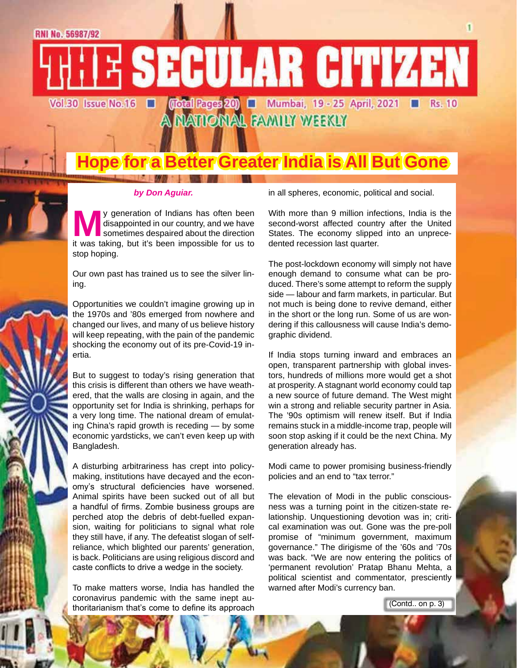**E SECULAR CITIZEN** (Total Rages 20) ■ Mumbai, 19 - 25 April, 2021 ■ Rs. 10 Vol.30 Issue No.16 П

A MATIONAL FAMILY WEEKLY

### **Hope for a Better Greater India is All But Gone**

#### *by Don Aguiar.*

**May generation of Indians has often been** disappointed in our country, and we have sometimes despaired about the direction it was taking, but it's been impossible for us to disappointed in our country, and we have sometimes despaired about the direction stop hoping.

Our own past has trained us to see the silver lining.

Opportunities we couldn't imagine growing up in the 1970s and '80s emerged from nowhere and changed our lives, and many of us believe history will keep repeating, with the pain of the pandemic shocking the economy out of its pre-Covid-19 inertia.

But to suggest to today's rising generation that this crisis is different than others we have weathered, that the walls are closing in again, and the opportunity set for India is shrinking, perhaps for a very long time. The national dream of emulating China's rapid growth is receding — by some economic yardsticks, we can't even keep up with Bangladesh.

A disturbing arbitrariness has crept into policymaking, institutions have decayed and the economy's structural deficiencies have worsened. Animal spirits have been sucked out of all but a handful of firms. Zombie business groups are perched atop the debris of debt-fuelled expansion, waiting for politicians to signal what role they still have, if any. The defeatist slogan of selfreliance, which blighted our parents' generation, is back. Politicians are using religious discord and caste conflicts to drive a wedge in the society.

To make matters worse, India has handled the coronavirus pandemic with the same inept authoritarianism that's come to define its approach in all spheres, economic, political and social.

With more than 9 million infections, India is the second-worst affected country after the United States. The economy slipped into an unprecedented recession last quarter.

The post-lockdown economy will simply not have enough demand to consume what can be produced. There's some attempt to reform the supply side — labour and farm markets, in particular. But not much is being done to revive demand, either in the short or the long run. Some of us are wondering if this callousness will cause India's demographic dividend.

If India stops turning inward and embraces an open, transparent partnership with global investors, hundreds of millions more would get a shot at prosperity. A stagnant world economy could tap a new source of future demand. The West might win a strong and reliable security partner in Asia. The '90s optimism will renew itself. But if India remains stuck in a middle-income trap, people will soon stop asking if it could be the next China. My generation already has.

Modi came to power promising business-friendly policies and an end to "tax terror."

The elevation of Modi in the public consciousness was a turning point in the citizen-state relationship. Unquestioning devotion was in; critical examination was out. Gone was the pre-poll promise of "minimum government, maximum governance." The dirigisme of the '60s and '70s was back. "We are now entering the politics of 'permanent revolution' Pratap Bhanu Mehta, a political scientist and commentator, presciently warned after Modi's currency ban.

(Contd.. on p. 3)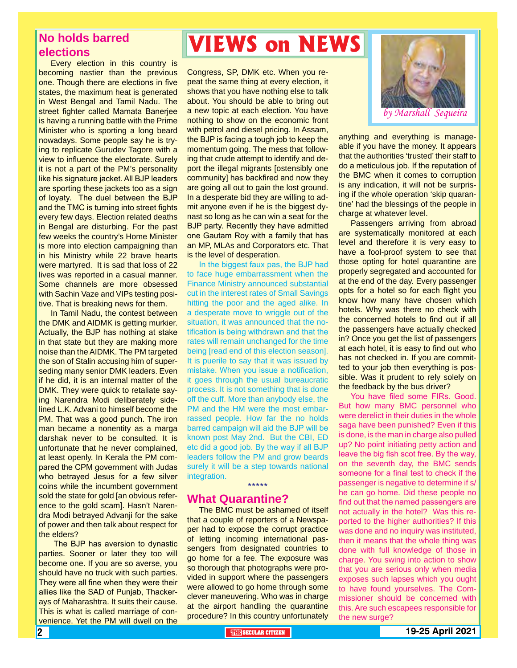### **No holds barred elections**

Every election in this country is becoming nastier than the previous one. Though there are elections in five states, the maximum heat is generated in West Bengal and Tamil Nadu. The street fighter called Mamata Banerjee is having a running battle with the Prime Minister who is sporting a long beard nowadays. Some people say he is trying to replicate Gurudev Tagore with a view to influence the electorate. Surely it is not a part of the PM's personality like his signature jacket. All BJP leaders are sporting these jackets too as a sign of loyaty. The duel between the BJP and the TMC is turning into street fights every few days. Election related deaths in Bengal are disturbing. For the past few weeks the country's Home Minister is more into election campaigning than in his Ministry while 22 brave hearts were martyred. It is sad that loss of 22 lives was reported in a casual manner. Some channels are more obsessed with Sachin Vaze and VIPs testing positive. That is breaking news for them.

In Tamil Nadu, the contest between the DMK and AIDMK is getting murkier. Actually, the BJP has nothing at stake in that state but they are making more noise than the AIDMK. The PM targeted the son of Stalin accusing him of superseding many senior DMK leaders. Even if he did, it is an internal matter of the DMK. They were quick to retaliate saying Narendra Modi deliberately sidelined L.K. Advani to himself become the PM. That was a good punch. The iron man became a nonentity as a marga darshak never to be consulted. It is unfortunate that he never complained, at least openly. In Kerala the PM compared the CPM government with Judas who betrayed Jesus for a few silver coins while the incumbent government sold the state for gold [an obvious reference to the gold scam]. Hasn't Narendra Modi betrayed Advanji for the sake of power and then talk about respect for the elders?

 The BJP has aversion to dynastic parties. Sooner or later they too will become one. If you are so averse, you should have no truck with such parties. They were all fine when they were their allies like the SAD of Punjab, Thackerays of Maharashtra. It suits their cause. This is what is called marriage of convenience. Yet the PM will dwell on the

### **VIEWS on NEWS**

Congress, SP, DMK etc. When you repeat the same thing at every election, it shows that you have nothing else to talk about. You should be able to bring out a new topic at each election. You have nothing to show on the economic front with petrol and diesel pricing. In Assam, the BJP is facing a tough job to keep the momentum going. The mess that following that crude attempt to identify and deport the illegal migrants [ostensibly one community] has backfired and now they are going all out to gain the lost ground. In a desperate bid they are willing to admit anyone even if he is the biggest dynast so long as he can win a seat for the BJP party. Recently they have admitted one Gautam Roy with a family that has an MP, MLAs and Corporators etc. That is the level of desperation.

In the biggest faux pas, the BJP had to face huge embarrassment when the Finance Ministry announced substantial cut in the interest rates of Small Savings hitting the poor and the aged alike. In a desperate move to wriggle out of the situation, it was announced that the notification is being withdrawn and that the rates will remain unchanged for the time being [read end of this election season]. It is puerile to say that it was issued by mistake. When you issue a notification, it goes through the usual bureaucratic process. It is not something that is done off the cuff. More than anybody else, the PM and the HM were the most embarrassed people. How far the no holds barred campaign will aid the BJP will be known post May 2nd. But the CBI, ED etc did a good job. By the way if all BJP leaders follow the PM and grow beards surely it will be a step towards national integration. \*\*\*\*\*

### **What Quarantine?**

The BMC must be ashamed of itself that a couple of reporters of a Newspaper had to expose the corrupt practice of letting incoming international passengers from designated countries to go home for a fee. The exposure was so thorough that photographs were provided in support where the passengers were allowed to go home through some clever maneuvering. Who was in charge at the airport handling the quarantine procedure? In this country unfortunately



anything and everything is manageable if you have the money. It appears that the authorities 'trusted' their staff to do a meticulous job. If the reputation of the BMC when it comes to corruption is any indication, it will not be surprising if the whole operation 'skip quarantine' had the blessings of the people in charge at whatever level.

Passengers arriving from abroad are systematically monitored at each level and therefore it is very easy to have a fool-proof system to see that those opting for hotel quarantine are properly segregated and accounted for at the end of the day. Every passenger opts for a hotel so for each flight you know how many have chosen which hotels. Why was there no check with the concerned hotels to find out if all the passengers have actually checked in? Once you get the list of passengers at each hotel, it is easy to find out who has not checked in. If you are committed to your job then everything is possible. Was it prudent to rely solely on the feedback by the bus driver?

You have filed some FIRs. Good. But how many BMC personnel who were derelict in their duties in the whole saga have been punished? Even if this is done, is the man in charge also pulled up? No point initiating petty action and leave the big fish scot free. By the way, on the seventh day, the BMC sends someone for a final test to check if the passenger is negative to determine if s/ he can go home. Did these people no find out that the named passengers are not actually in the hotel? Was this reported to the higher authorities? If this was done and no inquiry was instituted, then it means that the whole thing was done with full knowledge of those in charge. You swing into action to show that you are serious only when media exposes such lapses which you ought to have found yourselves. The Commissioner should be concerned with this. Are such escapees responsible for the new surge?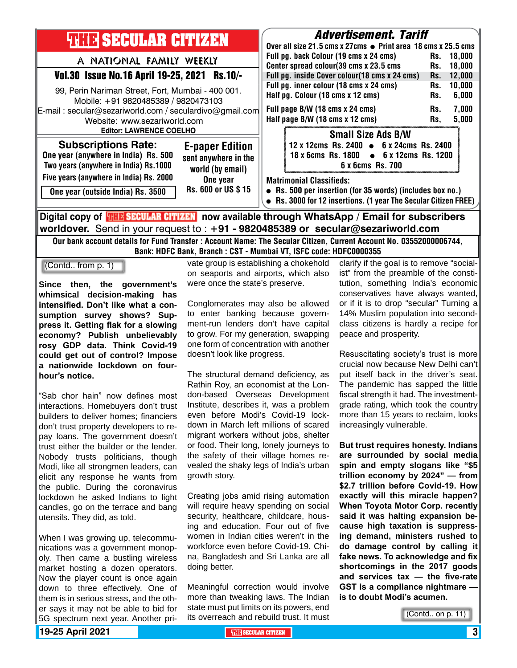| <b>THE SECULAR CITIZEN</b>                                                                                                 | <i><b>Advertisement. Tariff</b></i>                                   |
|----------------------------------------------------------------------------------------------------------------------------|-----------------------------------------------------------------------|
|                                                                                                                            | Over all size 21.5 cms x 27cms $\bullet$ Print area 18 cms x 25.5 cms |
| A NATIONAL FAMILY WEEKLY                                                                                                   | Full pg. back Colour (19 cms x 24 cms)<br>Rs. 18.000                  |
|                                                                                                                            | Center spread colour(39 cms x 23.5 cms<br>18,000<br>Rs.               |
| Vol.30 Issue No.16 April 19-25, 2021 Rs.10/-                                                                               | Full pg. inside Cover colour(18 cms x 24 cms)<br>12,000<br>Rs.        |
|                                                                                                                            | Full pg. inner colour (18 cms x 24 cms)<br>10,000<br>Rs.              |
| 99, Perin Nariman Street, Fort, Mumbai - 400 001.<br>Mobile: +91 9820485389 / 9820473103                                   | Half pg. Colour (18 cms x 12 cms)<br>6,000<br>Rs.                     |
| E-mail: secular@sezariworld.com / seculardivo@gmail.com                                                                    | Full page B/W (18 cms x 24 cms)<br>7,000<br>Rs.                       |
| Website: www.sezariworld.com                                                                                               | Half page B/W (18 cms x 12 cms)<br>5,000<br>Rs.                       |
|                                                                                                                            |                                                                       |
| <b>Editor: LAWRENCE COELHO</b>                                                                                             | <b>Small Size Ads B/W</b>                                             |
| <b>Subscriptions Rate:</b><br><b>E-paper Edition</b>                                                                       | 12 x 12cms Rs. 2400 • 6 x 24cms Rs. 2400                              |
| One year (anywhere in India) Rs. 500<br>sent anywhere in the                                                               | 18 x 6cms Rs. 1800 • 6 x 12cms Rs. 1200                               |
| Two years (anywhere in India) Rs.1000                                                                                      | 6 x 6cms Rs. 700                                                      |
| world (by email)                                                                                                           |                                                                       |
| Five years (anywhere in India) Rs. 2000<br>One year                                                                        | <b>Matrimonial Classifieds:</b>                                       |
| Rs. 600 or US \$15<br>One year (outside India) Rs. 3500                                                                    | • Rs. 500 per insertion (for 35 words) (includes box no.)             |
|                                                                                                                            | Rs. 3000 for 12 insertions. (1 year The Secular Citizen FREE)         |
|                                                                                                                            |                                                                       |
| <mark>HHE SECULAR CITIZEN</mark> now available through WhatsApp / Email for subscribers<br>∣Digital copγ of <mark>H</mark> |                                                                       |

**worldover.** Send in your request to : **+91 - 9820485389 or secular@sezariworld.com**

Our bank account details for Fund Transfer : Account Name: The Secular Citizen, Current Account No. 03552000006744, Bank: HDFC Bank, Branch : CST - Mumbai VT, ISFC code: HDFC0000355

(Contd.. from p. 1)

**Since then, the government's whimsical decision-making has intensified. Don't like what a consumption survey shows? Suppress it. Getting flak for a slowing economy? Publish unbelievably rosy GDP data. Think Covid-19 could get out of control? Impose a nationwide lockdown on fourhour's notice.**

"Sab chor hain" now defines most interactions. Homebuyers don't trust builders to deliver homes; financiers don't trust property developers to repay loans. The government doesn't trust either the builder or the lender. Nobody trusts politicians, though Modi, like all strongmen leaders, can elicit any response he wants from the public. During the coronavirus lockdown he asked Indians to light candles, go on the terrace and bang utensils. They did, as told.

When I was growing up, telecommunications was a government monopoly. Then came a bustling wireless market hosting a dozen operators. Now the player count is once again down to three effectively. One of them is in serious stress, and the other says it may not be able to bid for 5G spectrum next year. Another pri-

vate group is establishing a chokehold on seaports and airports, which also were once the state's preserve.

Conglomerates may also be allowed to enter banking because government-run lenders don't have capital to grow. For my generation, swapping one form of concentration with another doesn't look like progress.

The structural demand deficiency, as Rathin Roy, an economist at the London-based Overseas Development Institute, describes it, was a problem even before Modi's Covid-19 lockdown in March left millions of scared migrant workers without jobs, shelter or food. Their long, lonely journeys to the safety of their village homes revealed the shaky legs of India's urban growth story.

Creating jobs amid rising automation will require heavy spending on social security, healthcare, childcare, housing and education. Four out of five women in Indian cities weren't in the workforce even before Covid-19. China, Bangladesh and Sri Lanka are all doing better.

Meaningful correction would involve more than tweaking laws. The Indian state must put limits on its powers, end its overreach and rebuild trust. It must

clarify if the goal is to remove "socialist" from the preamble of the constitution, something India's economic conservatives have always wanted, or if it is to drop "secular" Turning a 14% Muslim population into secondclass citizens is hardly a recipe for peace and prosperity.

Resuscitating society's trust is more crucial now because New Delhi can't put itself back in the driver's seat. The pandemic has sapped the little fiscal strength it had. The investmentgrade rating, which took the country more than 15 years to reclaim, looks increasingly vulnerable.

**But trust requires honesty. Indians are surrounded by social media spin and empty slogans like "\$5 trillion economy by 2024" — from \$2.7 trillion before Covid-19. How exactly will this miracle happen? When Toyota Motor Corp. recently said it was halting expansion because high taxation is suppressing demand, ministers rushed to do damage control by calling it fake news. To acknowledge and fix shortcomings in the 2017 goods and services tax — the five-rate GST is a compliance nightmare is to doubt Modi's acumen.**

(Contd.. on p. 11)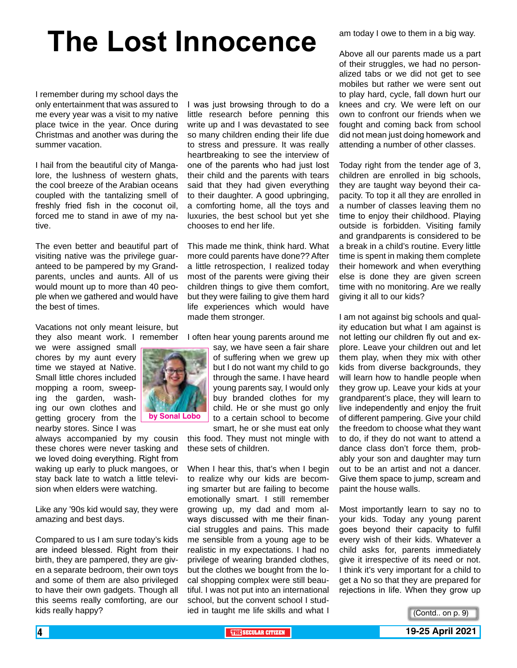## **The Lost Innocence**

I remember during my school days the only entertainment that was assured to me every year was a visit to my native place twice in the year. Once during Christmas and another was during the summer vacation.

I hail from the beautiful city of Mangalore, the lushness of western ghats, the cool breeze of the Arabian oceans coupled with the tantalizing smell of freshly fried fish in the coconut oil, forced me to stand in awe of my native.

The even better and beautiful part of visiting native was the privilege guaranteed to be pampered by my Grandparents, uncles and aunts. All of us would mount up to more than 40 people when we gathered and would have the best of times.

Vacations not only meant leisure, but they also meant work. I remember

we were assigned small chores by my aunt every time we stayed at Native. Small little chores included mopping a room, sweeping the garden, washing our own clothes and getting grocery from the nearby stores. Since I was

always accompanied by my cousin these chores were never tasking and we loved doing everything. Right from waking up early to pluck mangoes, or stay back late to watch a little television when elders were watching.

Like any '90s kid would say, they were amazing and best days.

Compared to us I am sure today's kids are indeed blessed. Right from their birth, they are pampered, they are given a separate bedroom, their own toys and some of them are also privileged to have their own gadgets. Though all this seems really comforting, are our kids really happy?

I was just browsing through to do a little research before penning this write up and I was devastated to see so many children ending their life due to stress and pressure. It was really heartbreaking to see the interview of one of the parents who had just lost their child and the parents with tears said that they had given everything to their daughter. A good upbringing, a comforting home, all the toys and luxuries, the best school but yet she chooses to end her life.

This made me think, think hard. What more could parents have done?? After a little retrospection, I realized today most of the parents were giving their children things to give them comfort, but they were failing to give them hard life experiences which would have made them stronger.

I often hear young parents around me

say, we have seen a fair share of suffering when we grew up but I do not want my child to go through the same. I have heard young parents say, I would only buy branded clothes for my child. He or she must go only to a certain school to become smart, he or she must eat only

this food. They must not mingle with these sets of children.

When I hear this, that's when I begin to realize why our kids are becoming smarter but are failing to become emotionally smart. I still remember growing up, my dad and mom always discussed with me their financial struggles and pains. This made me sensible from a young age to be realistic in my expectations. I had no privilege of wearing branded clothes, but the clothes we bought from the local shopping complex were still beautiful. I was not put into an international school, but the convent school I studied in taught me life skills and what I

am today I owe to them in a big way.

Above all our parents made us a part of their struggles, we had no personalized tabs or we did not get to see mobiles but rather we were sent out to play hard, cycle, fall down hurt our knees and cry. We were left on our own to confront our friends when we fought and coming back from school did not mean just doing homework and attending a number of other classes.

Today right from the tender age of 3, children are enrolled in big schools, they are taught way beyond their capacity. To top it all they are enrolled in a number of classes leaving them no time to enjoy their childhood. Playing outside is forbidden. Visiting family and grandparents is considered to be a break in a child's routine. Every little time is spent in making them complete their homework and when everything else is done they are given screen time with no monitoring. Are we really giving it all to our kids?

I am not against big schools and quality education but what I am against is not letting our children fly out and explore. Leave your children out and let them play, when they mix with other kids from diverse backgrounds, they will learn how to handle people when they grow up. Leave your kids at your grandparent's place, they will learn to live independently and enjoy the fruit of different pampering. Give your child the freedom to choose what they want to do, if they do not want to attend a dance class don't force them, probably your son and daughter may turn out to be an artist and not a dancer. Give them space to jump, scream and paint the house walls.

Most importantly learn to say no to your kids. Today any young parent goes beyond their capacity to fulfil every wish of their kids. Whatever a child asks for, parents immediately give it irrespective of its need or not. I think it's very important for a child to get a No so that they are prepared for rejections in life. When they grow up

(Contd.. on p. 9)

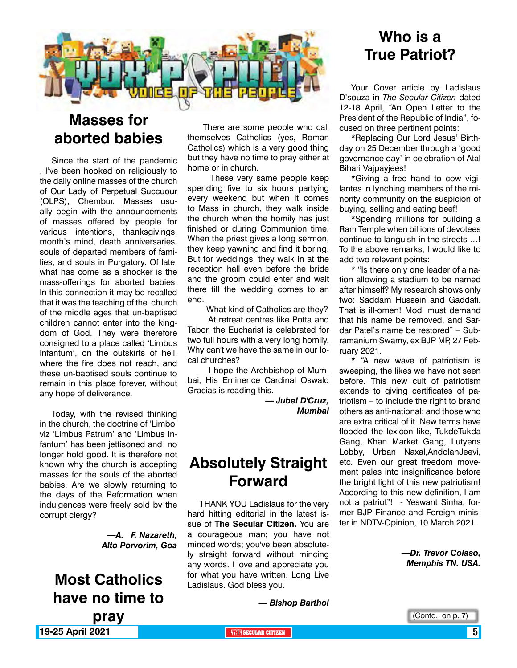

### **Masses for aborted babies**

Since the start of the pandemic , I've been hooked on religiously to the daily online masses of the church of Our Lady of Perpetual Succuour (OLPS), Chembur. Masses usually begin with the announcements of masses offered by people for various intentions, thanksgivings, month's mind, death anniversaries, souls of departed members of families, and souls in Purgatory. Of late, what has come as a shocker is the mass-offerings for aborted babies. In this connection it may be recalled that it was the teaching of the church of the middle ages that un-baptised children cannot enter into the kingdom of God. They were therefore consigned to a place called 'Limbus Infantum', on the outskirts of hell, where the fire does not reach, and these un-baptised souls continue to remain in this place forever, without any hope of deliverance.

Today, with the revised thinking in the church, the doctrine of 'Limbo' viz 'Limbus Patrum' and 'Limbus Infantum' has been jettisoned and no longer hold good. It is therefore not known why the church is accepting masses for the souls of the aborted babies. Are we slowly returning to the days of the Reformation when indulgences were freely sold by the corrupt clergy?

> *—A. F. Nazareth, Alto Porvorim, Goa*

**19-25 April 2021 THE THE THE THE SECULAR CITIZEN THE SECULAR CITIZEN 5 Most Catholics have no time to pray**

 There are some people who call themselves Catholics (yes, Roman Catholics) which is a very good thing but they have no time to pray either at home or in church.

 These very same people keep spending five to six hours partying every weekend but when it comes to Mass in church, they walk inside the church when the homily has just finished or during Communion time. When the priest gives a long sermon, they keep yawning and find it boring. But for weddings, they walk in at the reception hall even before the bride and the groom could enter and wait there till the wedding comes to an end.

What kind of Catholics are they?

 At retreat centres like Potta and Tabor, the Eucharist is celebrated for two full hours with a very long homily. Why can't we have the same in our local churches?

 I hope the Archbishop of Mumbai, His Eminence Cardinal Oswald Gracias is reading this.

> *— Jubel D'Cruz, Mumbai*

### **Absolutely Straight Forward**

THANK YOU Ladislaus for the very hard hitting editorial in the latest issue of **The Secular Citizen.** You are a courageous man; you have not minced words; you've been absolutely straight forward without mincing any words. I love and appreciate you for what you have written. Long Live Ladislaus. God bless you.

### **Who is a True Patriot?**

Your Cover article by Ladislaus D'souza in *The Secular Citizen* dated 12-18 April, "An Open Letter to the President of the Republic of India", focused on three pertinent points:

\*Replacing Our Lord Jesus' Birthday on 25 December through a 'good governance day' in celebration of Atal Bihari Vajpayjees!

\*Giving a free hand to cow vigilantes in lynching members of the minority community on the suspicion of buying, selling and eating beef!

\*Spending millions for building a Ram Temple when billions of devotees continue to languish in the streets …! To the above remarks, I would like to add two relevant points:

\* "Is there only one leader of a nation allowing a stadium to be named after himself? My research shows only two: Saddam Hussein and Gaddafi. That is ill-omen! Modi must demand that his name be removed, and Sardar Patel's name be restored" – Subramanium Swamy, ex BJP MP, 27 February 2021.

\* "A new wave of patriotism is sweeping, the likes we have not seen before. This new cult of patriotism extends to giving certificates of patriotism  $-$  to include the right to brand others as anti-national; and those who are extra critical of it. New terms have flooded the lexicon like, TukdeTukda Gang, Khan Market Gang, Lutyens Lobby, Urban Naxal,AndolanJeevi, etc. Even our great freedom movement pales into insignificance before the bright light of this new patriotism! According to this new definition, I am not a patriot"! - Yeswant Sinha, former BJP Finance and Foreign minister in NDTV-Opinion, 10 March 2021.

> *—Dr. Trevor Colaso, Memphis TN. USA.*

*— Bishop Barthol*

(Contd.. on p. 7)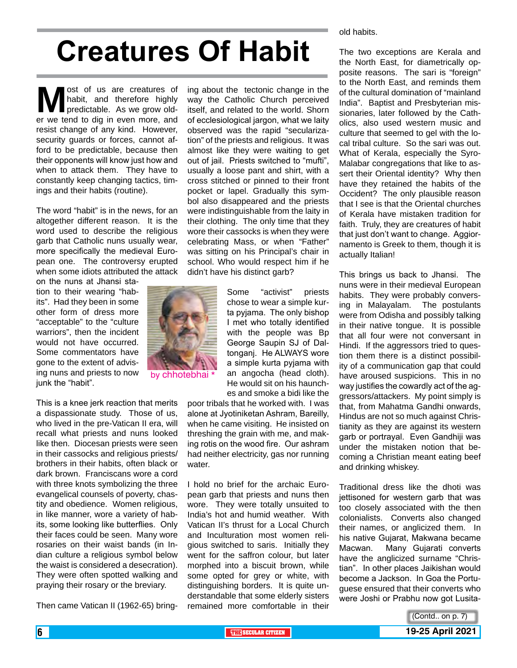## **Creatures Of Habit**

**M** ost of us are creatures of habit, and therefore highly predictable. As we grow older we tend to dig in even more, and habit, and therefore highly predictable. As we grow older we tend to dig in even more, and resist change of any kind. However, security guards or forces, cannot afford to be predictable, because then their opponents will know just how and when to attack them. They have to constantly keep changing tactics, timings and their habits (routine).

The word "habit" is in the news, for an altogether different reason. It is the word used to describe the religious garb that Catholic nuns usually wear, more specifically the medieval European one. The controversy erupted when some idiots attributed the attack

on the nuns at Jhansi station to their wearing "habits". Had they been in some other form of dress more "acceptable" to the "culture warriors", then the incident would not have occurred. Some commentators have gone to the extent of advising nuns and priests to now junk the "habit".

This is a knee jerk reaction that merits a dispassionate study. Those of us, who lived in the pre-Vatican II era, will recall what priests and nuns looked like then. Diocesan priests were seen in their cassocks and religious priests/ brothers in their habits, often black or dark brown. Franciscans wore a cord with three knots symbolizing the three evangelical counsels of poverty, chastity and obedience. Women religious, in like manner, wore a variety of habits, some looking like butterflies. Only their faces could be seen. Many wore rosaries on their waist bands (in Indian culture a religious symbol below the waist is considered a desecration). They were often spotted walking and praying their rosary or the breviary.

Then came Vatican II (1962-65) bring-

ing about the tectonic change in the way the Catholic Church perceived itself, and related to the world. Shorn of ecclesiological jargon, what we laity observed was the rapid "secularization" of the priests and religious. It was almost like they were waiting to get out of jail. Priests switched to "mufti", usually a loose pant and shirt, with a cross stitched or pinned to their front pocket or lapel. Gradually this symbol also disappeared and the priests were indistinguishable from the laity in their clothing. The only time that they wore their cassocks is when they were celebrating Mass, or when "Father" was sitting on his Principal's chair in school. Who would respect him if he didn't have his distinct garb?

> Some "activist" priests chose to wear a simple kurta pyjama. The only bishop I met who totally identified with the people was Bp George Saupin SJ of Daltonganj. He ALWAYS wore a simple kurta pyjama with an angocha (head cloth).



by chhotebhai

He would sit on his haunches and smoke a bidi like the poor tribals that he worked with. I was alone at Jyotiniketan Ashram, Bareilly, when he came visiting. He insisted on threshing the grain with me, and making rotis on the wood fire. Our ashram had neither electricity, gas nor running water.

I hold no brief for the archaic European garb that priests and nuns then wore. They were totally unsuited to India's hot and humid weather. With Vatican II's thrust for a Local Church and Inculturation most women religious switched to saris. Initially they went for the saffron colour, but later morphed into a biscuit brown, while some opted for grey or white, with distinguishing borders. It is quite understandable that some elderly sisters remained more comfortable in their old habits.

The two exceptions are Kerala and the North East, for diametrically opposite reasons. The sari is "foreign" to the North East, and reminds them of the cultural domination of "mainland India". Baptist and Presbyterian missionaries, later followed by the Catholics, also used western music and culture that seemed to gel with the local tribal culture. So the sari was out. What of Kerala, especially the Syro-Malabar congregations that like to assert their Oriental identity? Why then have they retained the habits of the Occident? The only plausible reason that I see is that the Oriental churches of Kerala have mistaken tradition for faith. Truly, they are creatures of habit that just don't want to change. Aggiornamento is Greek to them, though it is actually Italian!

This brings us back to Jhansi. The nuns were in their medieval European habits. They were probably conversing in Malayalam. The postulants were from Odisha and possibly talking in their native tongue. It is possible that all four were not conversant in Hindi. If the aggressors tried to question them there is a distinct possibility of a communication gap that could have aroused suspicions. This in no way justifies the cowardly act of the aggressors/attackers. My point simply is that, from Mahatma Gandhi onwards, Hindus are not so much against Christianity as they are against its western garb or portrayal. Even Gandhiji was under the mistaken notion that becoming a Christian meant eating beef and drinking whiskey.

Traditional dress like the dhoti was jettisoned for western garb that was too closely associated with the then colonialists. Converts also changed their names, or anglicized them. In his native Gujarat, Makwana became Macwan. Many Gujarati converts have the anglicized surname "Christian". In other places Jaikishan would become a Jackson. In Goa the Portuguese ensured that their converts who were Joshi or Prabhu now got Lusita-

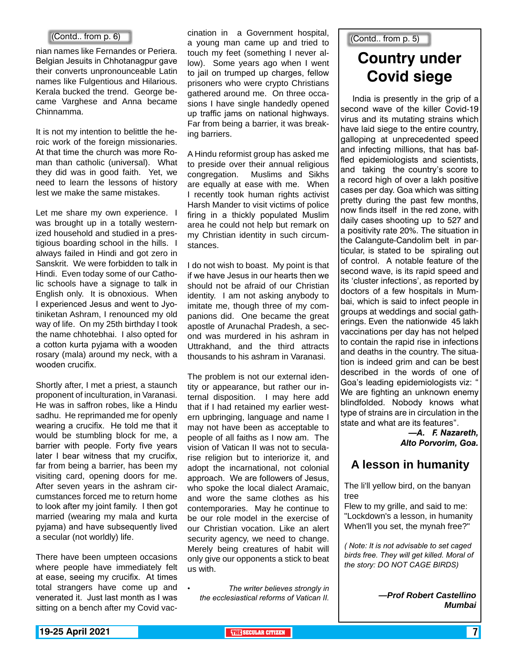nian names like Fernandes or Periera. Belgian Jesuits in Chhotanagpur gave their converts unpronounceable Latin names like Fulgentious and Hilarious. Kerala bucked the trend. George became Varghese and Anna became Chinnamma.

It is not my intention to belittle the heroic work of the foreign missionaries. At that time the church was more Roman than catholic (universal). What they did was in good faith. Yet, we need to learn the lessons of history lest we make the same mistakes.

Let me share my own experience. I was brought up in a totally westernized household and studied in a prestigious boarding school in the hills. I always failed in Hindi and got zero in Sanskrit. We were forbidden to talk in Hindi. Even today some of our Catholic schools have a signage to talk in English only. It is obnoxious. When I experienced Jesus and went to Jyotiniketan Ashram, I renounced my old way of life. On my 25th birthday I took the name chhotebhai. I also opted for a cotton kurta pyjama with a wooden rosary (mala) around my neck, with a wooden crucifix.

Shortly after, I met a priest, a staunch proponent of inculturation, in Varanasi. He was in saffron robes, like a Hindu sadhu. He reprimanded me for openly wearing a crucifix. He told me that it would be stumbling block for me, a barrier with people. Forty five years later I bear witness that my crucifix, far from being a barrier, has been my visiting card, opening doors for me. After seven years in the ashram circumstances forced me to return home to look after my joint family. I then got married (wearing my mala and kurta pyjama) and have subsequently lived a secular (not worldly) life.

There have been umpteen occasions where people have immediately felt at ease, seeing my crucifix. At times total strangers have come up and venerated it. Just last month as I was sitting on a bench after my Covid vac-

cination in a Government hospital, a young man came up and tried to (Contd.. from p. 5) (Contd.. from p. 6) touch my feet (something I never allow). Some years ago when I went to jail on trumped up charges, fellow prisoners who were crypto Christians gathered around me. On three occasions I have single handedly opened up traffic jams on national highways. Far from being a barrier, it was breaking barriers.

> A Hindu reformist group has asked me to preside over their annual religious congregation. Muslims and Sikhs are equally at ease with me. When I recently took human rights activist Harsh Mander to visit victims of police firing in a thickly populated Muslim area he could not help but remark on my Christian identity in such circumstances.

> I do not wish to boast. My point is that if we have Jesus in our hearts then we should not be afraid of our Christian identity. I am not asking anybody to imitate me, though three of my companions did. One became the great apostle of Arunachal Pradesh, a second was murdered in his ashram in Uttrakhand, and the third attracts thousands to his ashram in Varanasi.

> The problem is not our external identity or appearance, but rather our internal disposition. I may here add that if I had retained my earlier western upbringing, language and name I may not have been as acceptable to people of all faiths as I now am. The vision of Vatican II was not to secularise religion but to interiorize it, and adopt the incarnational, not colonial approach. We are followers of Jesus, who spoke the local dialect Aramaic, and wore the same clothes as his contemporaries. May he continue to be our role model in the exercise of our Christian vocation. Like an alert security agency, we need to change. Merely being creatures of habit will only give our opponents a stick to beat us with.

*• The writer believes strongly in the ecclesiastical reforms of Vatican II.*

### **Country under Covid siege**

India is presently in the grip of a second wave of the killer Covid-19 virus and its mutating strains which have laid siege to the entire country, galloping at unprecedented speed and infecting millions, that has baffled epidemiologists and scientists, and taking the country's score to a record high of over a lakh positive cases per day. Goa which was sitting pretty during the past few months, now finds itself in the red zone, with daily cases shooting up to 527 and a positivity rate 20%. The situation in the Calangute-Candolim belt in particular, is stated to be spiraling out of control. A notable feature of the second wave, is its rapid speed and its 'cluster infections', as reported by doctors of a few hospitals in Mumbai, which is said to infect people in groups at weddings and social gatherings. Even the nationwide 45 lakh vaccinations per day has not helped to contain the rapid rise in infections and deaths in the country. The situation is indeed grim and can be best described in the words of one of Goa's leading epidemiologists viz: " We are fighting an unknown enemy blindfolded. Nobody knows what type of strains are in circulation in the state and what are its features".

> *—A. F. Nazareth, Alto Porvorim, Goa.*

### **A lesson in humanity**

The li'll yellow bird, on the banyan tree

Flew to my grille, and said to me: "Lockdown's a lesson, in humanity When'll you set, the mynah free?"

*( Note: It is not advisable to set caged birds free. They will get killed. Moral of the story: DO NOT CAGE BIRDS)*

> *—Prof Robert Castellino Mumbai*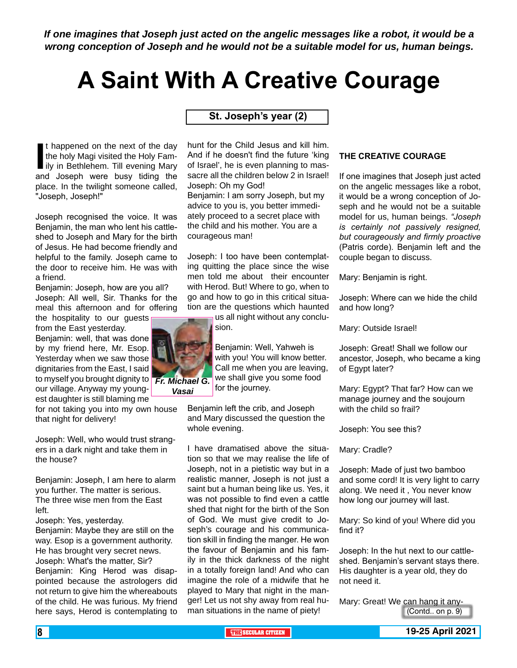*If one imagines that Joseph just acted on the angelic messages like a robot, it would be a wrong conception of Joseph and he would not be a suitable model for us, human beings.*

## **A Saint With A Creative Courage**

**St. Joseph's year (2)**

If happened on the next of the day<br>the holy Magi visited the Holy Fam-<br>ily in Bethlehem. Till evening Mary<br>and Joseph were busy tiding the t happened on the next of the day the holy Magi visited the Holy Family in Bethlehem. Till evening Mary place. In the twilight someone called, "Joseph, Joseph!"

Joseph recognised the voice. It was Benjamin, the man who lent his cattleshed to Joseph and Mary for the birth of Jesus. He had become friendly and helpful to the family. Joseph came to the door to receive him. He was with a friend.

Benjamin: Joseph, how are you all? Joseph: All well, Sir. Thanks for the meal this afternoon and for offering the hospitality to our guests

from the East yesterday. Benjamin: well, that was done by my friend here, Mr. Esop. Yesterday when we saw those dignitaries from the East, I said to myself you brought dignity to our village. Anyway my youngest daughter is still blaming me

for not taking you into my own house that night for delivery!

Joseph: Well, who would trust strangers in a dark night and take them in the house?

Benjamin: Joseph, I am here to alarm you further. The matter is serious. The three wise men from the East left.

Joseph: Yes, yesterday.

Benjamin: Maybe they are still on the way. Esop is a government authority. He has brought very secret news. Joseph: What's the matter, Sir? Benjamin: King Herod was disappointed because the astrologers did not return to give him the whereabouts of the child. He was furious. My friend here says, Herod is contemplating to

hunt for the Child Jesus and kill him. And if he doesn't find the future 'king of Israel', he is even planning to massacre all the children below 2 in Israel! Joseph: Oh my God! Benjamin: I am sorry Joseph, but my advice to you is, you better immediately proceed to a secret place with the child and his mother. You are a courageous man!

Joseph: I too have been contemplating quitting the place since the wise men told me about their encounter with Herod. But! Where to go, when to go and how to go in this critical situation are the questions which haunted

us all night without any conclusion.

Benjamin: Well, Yahweh is with you! You will know better. Call me when you are leaving, we shall give you some food for the journey.

Benjamin left the crib, and Joseph and Mary discussed the question the whole evening.

I have dramatised above the situation so that we may realise the life of Joseph, not in a pietistic way but in a realistic manner, Joseph is not just a saint but a human being like us. Yes, it was not possible to find even a cattle shed that night for the birth of the Son of God. We must give credit to Joseph's courage and his communication skill in finding the manger. He won the favour of Benjamin and his family in the thick darkness of the night in a totally foreign land! And who can imagine the role of a midwife that he played to Mary that night in the manger! Let us not shy away from real human situations in the name of piety!

### **THE CREATIVE COURAGE**

If one imagines that Joseph just acted on the angelic messages like a robot, it would be a wrong conception of Joseph and he would not be a suitable model for us, human beings. *"Joseph is certainly not passively resigned, but courageously and firmly proactive* (Patris corde). Benjamin left and the couple began to discuss.

Mary: Benjamin is right.

Joseph: Where can we hide the child and how long?

Mary: Outside Israel!

Joseph: Great! Shall we follow our ancestor, Joseph, who became a king of Egypt later?

Mary: Egypt? That far? How can we manage journey and the soujourn with the child so frail?

Joseph: You see this?

Mary: Cradle?

Joseph: Made of just two bamboo and some cord! It is very light to carry along. We need it , You never know how long our journey will last.

Mary: So kind of you! Where did you find it?

Joseph: In the hut next to our cattleshed. Benjamin's servant stays there. His daughter is a year old, they do not need it.

Mary: Great! We can hang it any-(Contd.. on p. 9)



*Vasai*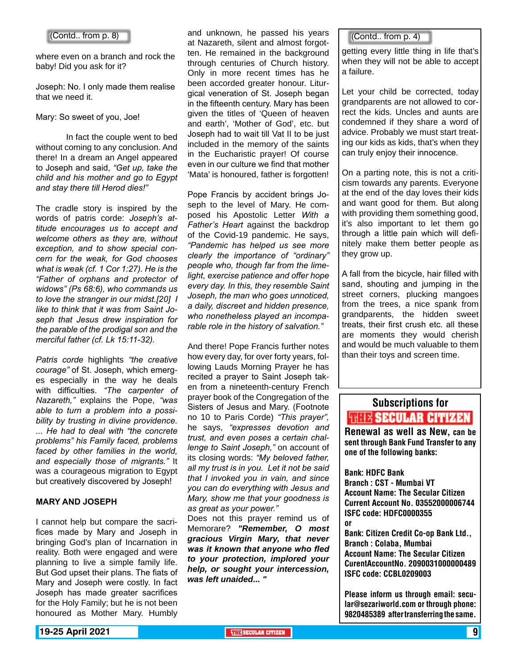### (Contd.. from p. 8)

where even on a branch and rock the baby! Did you ask for it?

Joseph: No. I only made them realise that we need it.

Mary: So sweet of you, Joe!

 In fact the couple went to bed without coming to any conclusion. And there! In a dream an Angel appeared to Joseph and said, *"Get up, take the child and his mother and go to Egypt and stay there till Herod dies!"*

The cradle story is inspired by the words of patris corde: *Joseph's attitude encourages us to accept and welcome others as they are, without exception, and to show special concern for the weak, for God chooses what is weak (cf. 1 Cor 1:27). He is the "Father of orphans and protector of widows" (Ps 68:6), who commands us to love the stranger in our midst.[20] I like to think that it was from Saint Joseph that Jesus drew inspiration for the parable of the prodigal son and the merciful father (cf. Lk 15:11-32).*

*Patris corde* highlights *"the creative courage"* of St. Joseph, which emerges especially in the way he deals with difficulties. *"The carpenter of Nazareth,"* explains the Pope, *"was able to turn a problem into a possibility by trusting in divine providence. ... He had to deal with "the concrete problems" his Family faced, problems faced by other families in the world, and especially those of migrants."* It was a courageous migration to Egypt but creatively discovered by Joseph!

### **MARY AND JOSEPH**

I cannot help but compare the sacrifices made by Mary and Joseph in bringing God's plan of Incarnation in reality. Both were engaged and were planning to live a simple family life. But God upset their plans. The fiats of Mary and Joseph were costly. In fact Joseph has made greater sacrifices for the Holy Family; but he is not been honoured as Mother Mary. Humbly

and unknown, he passed his years at Nazareth, silent and almost forgotten. He remained in the background through centuries of Church history. Only in more recent times has he been accorded greater honour. Liturgical veneration of St. Joseph began in the fifteenth century. Mary has been given the titles of 'Queen of heaven and earth', 'Mother of God', etc. but Joseph had to wait till Vat II to be just included in the memory of the saints in the Eucharistic prayer! Of course even in our culture we find that mother 'Mata' is honoured, father is forgotten!

Pope Francis by accident brings Joseph to the level of Mary. He composed his Apostolic Letter *With a Father's Heart* against the backdrop of the Covid-19 pandemic. He says, *"Pandemic has helped us see more clearly the importance of "ordinary" people who, though far from the limelight, exercise patience and offer hope every day. In this, they resemble Saint Joseph, the man who goes unnoticed, a daily, discreet and hidden presence, who nonetheless played an incomparable role in the history of salvation."*

And there! Pope Francis further notes how every day, for over forty years, following Lauds Morning Prayer he has recited a prayer to Saint Joseph taken from a nineteenth-century French prayer book of the Congregation of the Sisters of Jesus and Mary. (Footnote no 10 to Paris Corde) *"This prayer",* he says, *"expresses devotion and trust, and even poses a certain challenge to Saint Joseph,"* on account of its closing words: *"My beloved father, all my trust is in you. Let it not be said that I invoked you in vain, and since you can do everything with Jesus and Mary, show me that your goodness is as great as your power."*

Does not this prayer remind us of Memorare? *"Remember, O most gracious Virgin Mary, that never was it known that anyone who fled to your protection, implored your help, or sought your intercession, was left unaided... "*

### (Contd.. from p. 4)

getting every little thing in life that's when they will not be able to accept a failure.

Let your child be corrected, today grandparents are not allowed to correct the kids. Uncles and aunts are condemned if they share a word of advice. Probably we must start treating our kids as kids, that's when they can truly enjoy their innocence.

On a parting note, this is not a criticism towards any parents. Everyone at the end of the day loves their kids and want good for them. But along with providing them something good, it's also important to let them go through a little pain which will definitely make them better people as they grow up.

A fall from the bicycle, hair filled with sand, shouting and jumping in the street corners, plucking mangoes from the trees, a nice spank from grandparents, the hidden sweet treats, their first crush etc. all these are moments they would cherish and would be much valuable to them than their toys and screen time.

### Subscriptions for **THIE SECULAR CITIZEN**<br>Renewal as well as New, can be

sent through Bank Fund Transfer to any one of the following banks:

Bank: HDFC Bank Branch : CST - Mumbai VT Account Name: The Secular Citizen Current Account No. 03552000006744 ISFC code: HDFC0000355 or

Bank: Citizen Credit Co-op Bank Ltd., Branch : Colaba, Mumbai Account Name: The Secular Citizen CurentAccountNo. 2090031000000489 ISFC code: CCBL0209003

Please inform us through email: secular@sezariworld.com or through phone: 9820485389 after transferring the same.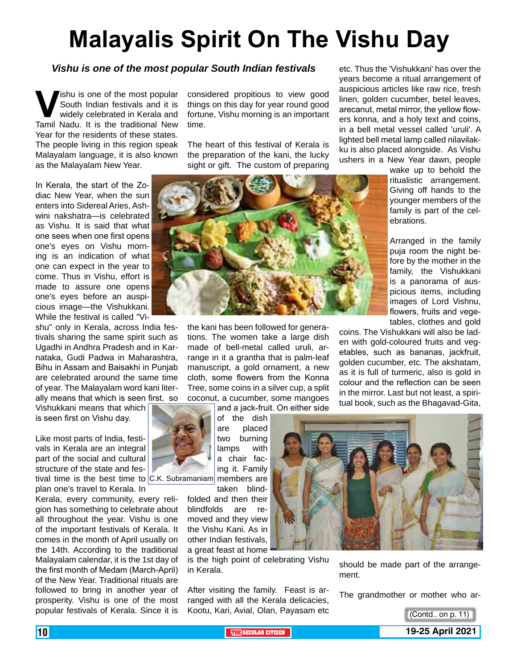## **Malayalis Spirit On The Vishu Day**

### *Vishu is one of the most popular South Indian festivals*

**Vishu is one of the most popular South Indian festivals and it is widely celebrated in Kerala and Tamil Nadu. It is the traditional New** South Indian festivals and it is widely celebrated in Kerala and Year for the residents of these states. The people living in this region speak Malayalam language, it is also known as the Malayalam New Year.

In Kerala, the start of the Zodiac New Year, when the sun enters into Sidereal Aries, Ashwini nakshatra—is celebrated as Vishu. It is said that what one sees when one first opens one's eyes on Vishu morning is an indication of what one can expect in the year to come. Thus in Vishu, effort is made to assure one opens one's eyes before an auspicious image—the Vishukkani. While the festival is called "Vi-

shu" only in Kerala, across India festivals sharing the same spirit such as Ugadhi in Andhra Pradesh and in Karnataka, Gudi Padwa in Maharashtra, Bihu in Assam and Baisakhi in Punjab are celebrated around the same time of year. The Malayalam word kani literally means that which is seen first, so

Vishukkani means that which is seen first on Vishu day.

Like most parts of India, festivals in Kerala are an integral part of the social and cultural structure of the state and festival time is the best time to C.K. Subramaniam members are

plan one's travel to Kerala. In Kerala, every community, every religion has something to celebrate about all throughout the year. Vishu is one of the important festivals of Kerala. It comes in the month of April usually on the 14th. According to the traditional Malayalam calendar, it is the 1st day of the first month of Medam (March-April) of the New Year. Traditional rituals are followed to bring in another year of prosperity. Vishu is one of the most popular festivals of Kerala. Since it is

considered propitious to view good things on this day for year round good fortune, Vishu morning is an important time.

The heart of this festival of Kerala is the preparation of the kani, the lucky sight or gift. The custom of preparing



the kani has been followed for generations. The women take a large dish made of bell-metal called uruli, arrange in it a grantha that is palm-leaf manuscript, a gold ornament, a new cloth, some flowers from the Konna Tree, some coins in a silver cup, a split coconut, a cucumber, some mangoes

and a jack-fruit. On either side



of the dish are placed two burning lamps with a chair facing it. Family

taken blindfolded and then their blindfolds are removed and they view the Vishu Kani. As in other Indian festivals, a great feast at home

is the high point of celebrating Vishu in Kerala.

After visiting the family. Feast is arranged with all the Kerala delicacies, Kootu, Kari, Avial, Olan, Payasam etc



should be made part of the arrangement.

The grandmother or mother who ar-

(Contd.. on p. 11)



etc. Thus the 'Vishukkani' has over the years become a ritual arrangement of auspicious articles like raw rice, fresh linen, golden cucumber, betel leaves, arecanut, metal mirror, the yellow flowers konna, and a holy text and coins, in a bell metal vessel called 'uruli'. A lighted bell metal lamp called nilavilakku is also placed alongside. As Vishu ushers in a New Year dawn, people

wake up to behold the ritualistic arrangement. Giving off hands to the younger members of the family is part of the celebrations.

Arranged in the family puja room the night before by the mother in the family, the Vishukkani is a panorama of auspicious items, including images of Lord Vishnu, flowers, fruits and vegetables, clothes and gold

coins. The Vishukkani will also be laden with gold-coloured fruits and vegetables, such as bananas, jackfruit, golden cucumber, etc. The akshatam, as it is full of turmeric, also is gold in colour and the reflection can be seen in the mirror. Last but not least, a spiritual book, such as the Bhagavad-Gita,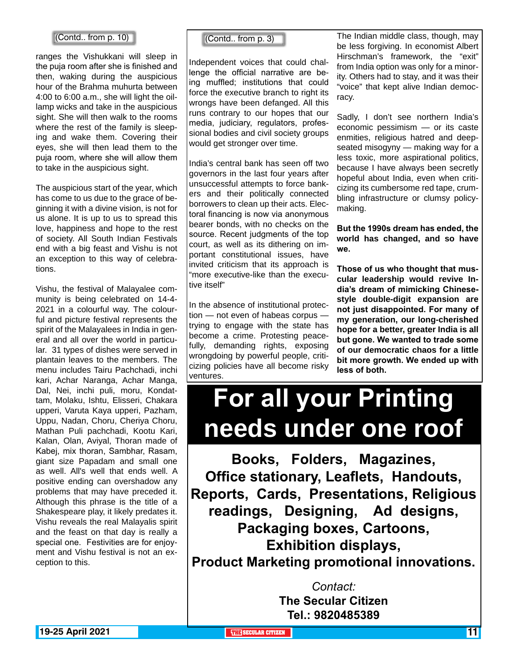### (Contd.. from p. 10) (Contd.. from p. 3)

ranges the Vishukkani will sleep in the puja room after she is finished and then, waking during the auspicious hour of the Brahma muhurta between 4:00 to 6:00 a.m., she will light the oillamp wicks and take in the auspicious sight. She will then walk to the rooms where the rest of the family is sleeping and wake them. Covering their eyes, she will then lead them to the puja room, where she will allow them to take in the auspicious sight.

The auspicious start of the year, which has come to us due to the grace of beginning it with a divine vision, is not for us alone. It is up to us to spread this love, happiness and hope to the rest of society. All South Indian Festivals end with a big feast and Vishu is not an exception to this way of celebrations.

Vishu, the festival of Malayalee community is being celebrated on 14-4- 2021 in a colourful way. The colourful and picture festival represents the spirit of the Malayalees in India in general and all over the world in particular. 31 types of dishes were served in plantain leaves to the members. The menu includes Tairu Pachchadi, inchi kari, Achar Naranga, Achar Manga, Dal, Nei, inchi puli, moru, Kondattam, Molaku, Ishtu, Elisseri, Chakara upperi, Varuta Kaya upperi, Pazham, Uppu, Nadan, Choru, Cheriya Choru, Mathan Puli pachchadi, Kootu Kari, Kalan, Olan, Aviyal, Thoran made of Kabej, mix thoran, Sambhar, Rasam, giant size Papadam and small one as well. All's well that ends well. A positive ending can overshadow any problems that may have preceded it. Although this phrase is the title of a Shakespeare play, it likely predates it. Vishu reveals the real Malayalis spirit and the feast on that day is really a special one. Festivities are for enjoyment and Vishu festival is not an exception to this.

Independent voices that could challenge the official narrative are being muffled; institutions that could force the executive branch to right its wrongs have been defanged. All this runs contrary to our hopes that our media, judiciary, regulators, professional bodies and civil society groups would get stronger over time.

India's central bank has seen off two governors in the last four years after unsuccessful attempts to force bankers and their politically connected borrowers to clean up their acts. Electoral financing is now via anonymous bearer bonds, with no checks on the source. Recent judgments of the top court, as well as its dithering on important constitutional issues, have invited criticism that its approach is "more executive-like than the executive itself"

In the absence of institutional protection — not even of habeas corpus trying to engage with the state has become a crime. Protesting peacefully, demanding rights, exposing wrongdoing by powerful people, criticizing policies have all become risky ventures.

The Indian middle class, though, may be less forgiving. In economist Albert Hirschman's framework, the "exit" from India option was only for a minority. Others had to stay, and it was their "voice" that kept alive Indian democracy.

Sadly, I don't see northern India's economic pessimism — or its caste enmities, religious hatred and deepseated misogyny — making way for a less toxic, more aspirational politics, because I have always been secretly hopeful about India, even when criticizing its cumbersome red tape, crumbling infrastructure or clumsy policymaking.

**But the 1990s dream has ended, the world has changed, and so have we.**

**Those of us who thought that muscular leadership would revive India's dream of mimicking Chinesestyle double-digit expansion are not just disappointed. For many of my generation, our long-cherished hope for a better, greater India is all but gone. We wanted to trade some of our democratic chaos for a little bit more growth. We ended up with less of both.**

## **For all your Printing needs under one roof**

**Books, Folders, Magazines, Office stationary, Leaflets, Handouts, Reports, Cards, Presentations, Religious readings, Designing, Ad designs, Packaging boxes, Cartoons, Exhibition displays, Product Marketing promotional innovations.**

> *Contact:* **The Secular Citizen Tel.: 9820485389**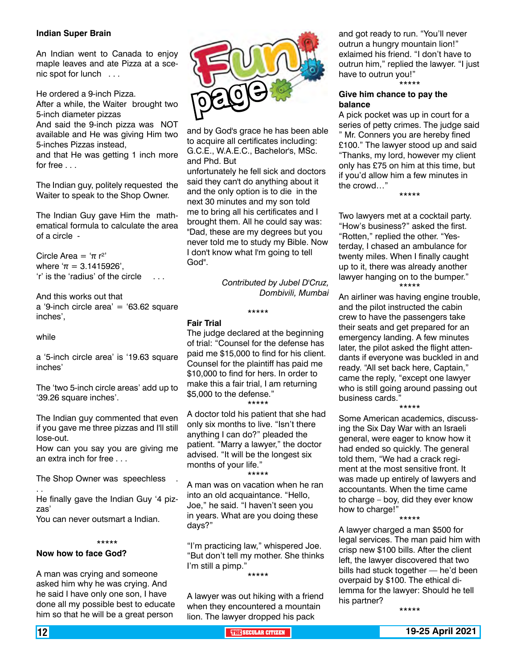### **Indian Super Brain**

An Indian went to Canada to enjoy maple leaves and ate Pizza at a scenic spot for lunch . . .

He ordered a 9-inch Pizza.

After a while, the Waiter brought two 5-inch diameter pizzas

And said the 9-inch pizza was NOT available and He was giving Him two 5-inches Pizzas instead,

and that He was getting 1 inch more for free . . .

The Indian guy, politely requested the Waiter to speak to the Shop Owner.

The Indian Guy gave Him the mathematical formula to calculate the area of a circle -

Circle Area =  $\pi r^2$ where  $π = 3.1415926$ ', 'r' is the 'radius' of the circle . . .

And this works out that a '9-inch circle area' = ' $63.62$  square inches',

while

a '5-inch circle area' is '19.63 square inches'

The 'two 5-inch circle areas' add up to '39.26 square inches'.

The Indian guy commented that even if you gave me three pizzas and I'll still lose-out.

How can you say you are giving me an extra inch for free . . .

The Shop Owner was speechless . . .

He finally gave the Indian Guy '4 pizzas'

You can never outsmart a Indian.

#### \*\*\*\*\*

### **Now how to face God?**

A man was crying and someone asked him why he was crying. And he said I have only one son, I have done all my possible best to educate him so that he will be a great person



and by God's grace he has been able to acquire all certificates including: G.C.E., W.A.E.C., Bachelor's, MSc. and Phd. But

unfortunately he fell sick and doctors said they can't do anything about it and the only option is to die in the next 30 minutes and my son told me to bring all his certificates and I brought them. All he could say was: "Dad, these are my degrees but you never told me to study my Bible. Now I don't know what I'm going to tell God".

> *Contributed by Jubel D'Cruz, Dombivili, Mumbai*

#### **Fair Trial**

The judge declared at the beginning of trial: "Counsel for the defense has paid me \$15,000 to find for his client. Counsel for the plaintiff has paid me \$10,000 to find for hers. In order to make this a fair trial, I am returning \$5,000 to the defense." \*\*\*\*\*

\*\*\*\*\*

A doctor told his patient that she had only six months to live. "Isn't there anything I can do?" pleaded the patient. "Marry a lawyer," the doctor advised. "It will be the longest six months of your life."

\*\*\*\*\*

A man was on vacation when he ran into an old acquaintance. "Hello, Joe," he said. "I haven't seen you in years. What are you doing these days?"

"I'm practicing law," whispered Joe. "But don't tell my mother. She thinks I'm still a pimp." \*\*\*\*\*

A lawyer was out hiking with a friend when they encountered a mountain lion. The lawyer dropped his pack

and got ready to run. "You'll never outrun a hungry mountain lion!" exlaimed his friend. "I don't have to outrun him," replied the lawyer. "I just have to outrun you!" \*\*\*\*\*

### **Give him chance to pay the balance**

A pick pocket was up in court for a series of petty crimes. The judge said " Mr. Conners you are hereby fined £100." The lawyer stood up and said "Thanks, my lord, however my client only has £75 on him at this time, but if you'd allow him a few minutes in the crowd…"

\*\*\*\*\*

Two lawyers met at a cocktail party. "How's business?" asked the first. "Rotten," replied the other. "Yesterday, I chased an ambulance for twenty miles. When I finally caught up to it, there was already another lawyer hanging on to the bumper." \*\*\*\*\*

An airliner was having engine trouble, and the pilot instructed the cabin crew to have the passengers take their seats and get prepared for an emergency landing. A few minutes later, the pilot asked the flight attendants if everyone was buckled in and ready. "All set back here, Captain," came the reply, "except one lawyer who is still going around passing out business cards."

\*\*\*\*\*

Some American academics, discussing the Six Day War with an Israeli general, were eager to know how it had ended so quickly. The general told them, "We had a crack regiment at the most sensitive front. It was made up entirely of lawyers and accountants. When the time came to charge – boy, did they ever know how to charge!"

\*\*\*\*\*

A lawyer charged a man \$500 for legal services. The man paid him with crisp new \$100 bills. After the client left, the lawyer discovered that two bills had stuck together — he'd been overpaid by \$100. The ethical dilemma for the lawyer: Should he tell his partner?

\*\*\*\*\*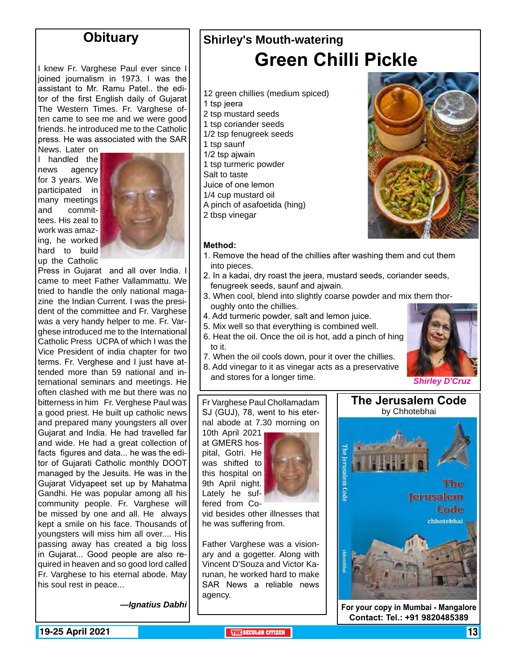### **Obituary**

I knew Fr. Varghese Paul ever since I joined journalism in 1973. I was the assistant to Mr. Ramu Patel.. the editor of the first English daily of Gujarat The Western Times. Fr. Varghese often came to see me and we were good friends. he introduced me to the Catholic press. He was associated with the SAR

News. Later on I handled the news agency for 3 years. We participated in many meetings<br>and commitcommittees. His zeal to work was amazing, he worked hard to build up the Catholic



Press in Gujarat and all over India. I came to meet Father Vallammattu. We tried to handle the only national magazine the Indian Current. I was the president of the committee and Fr. Varghese was a very handy helper to me. Fr. Varghese introduced me to the International Catholic Press UCPA of which I was the Vice President of india chapter for two terms. Fr. Verghese and I just have attended more than 59 national and international seminars and meetings. He often clashed with me but there was no bitterness in him Fr. Verghese Paul was a good priest. He built up catholic news and prepared many youngsters all over Gujarat and India. He had travelled far and wide. He had a great collection of facts figures and data... he was the editor of Gujarati Catholic monthly DOOT managed by the Jesuits. He was in the Gujarat Vidyapeet set up by Mahatma Gandhi. He was popular among all his community people. Fr. Varghese will be missed by one and all. He always kept a smile on his face. Thousands of youngsters will miss him all over.... His passing away has created a big loss in Gujarat... Good people are also required in heaven and so good lord called Fr. Varghese to his eternal abode. May his soul rest in peace...

*—Ignatius Dabhi*

### **Shirley's Mouth-watering Green Chilli Pickle**

- 12 green chillies (medium spiced)
- 1 tsp jeera
- 2 tsp mustard seeds
- 1 tsp coriander seeds
- 1/2 tsp fenugreek seeds
- 1 tsp saunf
- 1/2 tsp ajwain
- 1 tsp turmeric powder
- Salt to taste
- Juice of one lemon
- 1/4 cup mustard oil
- A pinch of asafoetida (hing)
- 2 tbsp vinegar

### **Method:**

- 1. Remove the head of the chillies after washing them and cut them into pieces.
- 2. In a kadai, dry roast the jeera, mustard seeds, coriander seeds, fenugreek seeds, saunf and ajwain.
- 3. When cool, blend into slightly coarse powder and mix them thoroughly onto the chillies.
- 4. Add turmeric powder, salt and lemon juice.
- 5. Mix well so that everything is combined well.
- 6. Heat the oil. Once the oil is hot, add a pinch of hing to it.
- 7. When the oil cools down, pour it over the chillies.
- 8. Add vinegar to it as vinegar acts as a preservative and stores for a longer time. *Shirley D'Cruz*

### Fr Varghese Paul Chollamadam SJ (GUJ), 78, went to his eternal abode at 7.30 morning on

10th April 2021 at GMERS hospital, Gotri. He was shifted to this hospital on 9th April night. Lately he suffered from Co-



vid besides other illnesses that he was suffering from.

Father Varghese was a visionary and a gogetter. Along with Vincent D'Souza and Victor Karunan, he worked hard to make SAR News a reliable news agency.



**The Jerusalem Code**

**Contact: Tel.: +91 9820485389**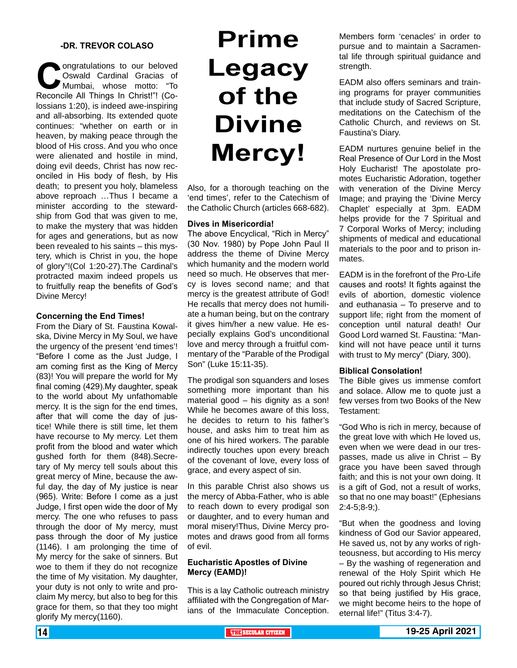### **-DR. TREVOR COLASO**

**Congratulations to our beloved<br>
Congratulations of Mumbai, whose motto: "To<br>
Reconcile All Things In Christ!"! (Co-**Oswald Cardinal Gracias of Mumbai, whose motto: "To Reconcile All Things In Christ!"! (Colossians 1:20), is indeed awe-inspiring and all-absorbing. Its extended quote continues: "whether on earth or in heaven, by making peace through the blood of His cross. And you who once were alienated and hostile in mind, doing evil deeds, Christ has now reconciled in His body of flesh, by His death; to present you holy, blameless above reproach …Thus I became a minister according to the stewardship from God that was given to me, to make the mystery that was hidden for ages and generations, but as now been revealed to his saints – this mystery, which is Christ in you, the hope of glory"!(Col 1:20-27).The Cardinal's protracted maxim indeed propels us to fruitfully reap the benefits of God's Divine Mercy!

### **Concerning the End Times!**

From the Diary of St. Faustina Kowalska, Divine Mercy in My Soul, we have the urgency of the present 'end times'! "Before I come as the Just Judge, I am coming first as the King of Mercy (83)! You will prepare the world for My final coming (429).My daughter, speak to the world about My unfathomable mercy. It is the sign for the end times, after that will come the day of justice! While there is still time, let them have recourse to My mercy. Let them profit from the blood and water which gushed forth for them (848).Secretary of My mercy tell souls about this great mercy of Mine, because the awful day, the day of My justice is near (965). Write: Before I come as a just Judge, I first open wide the door of My mercy. The one who refuses to pass through the door of My mercy, must pass through the door of My justice (1146). I am prolonging the time of My mercy for the sake of sinners. But woe to them if they do not recognize the time of My visitation. My daughter, your duty is not only to write and proclaim My mercy, but also to beg for this grace for them, so that they too might glorify My mercy(1160).

## **Prime Legacy of the Divine Mercy!**

Also, for a thorough teaching on the 'end times', refer to the Catechism of the Catholic Church (articles 668-682).

### **Dives in Misericordia!**

The above Encyclical, "Rich in Mercy" (30 Nov. 1980) by Pope John Paul II address the theme of Divine Mercy which humanity and the modern world need so much. He observes that mercy is loves second name; and that mercy is the greatest attribute of God! He recalls that mercy does not humiliate a human being, but on the contrary it gives him/her a new value. He especially explains God's unconditional love and mercy through a fruitful commentary of the "Parable of the Prodigal Son" (Luke 15:11-35).

The prodigal son squanders and loses something more important than his material good – his dignity as a son! While he becomes aware of this loss. he decides to return to his father's house, and asks him to treat him as one of his hired workers. The parable indirectly touches upon every breach of the covenant of love, every loss of grace, and every aspect of sin.

In this parable Christ also shows us the mercy of Abba-Father, who is able to reach down to every prodigal son or daughter, and to every human and moral misery!Thus, Divine Mercy promotes and draws good from all forms of evil.

### **Eucharistic Apostles of Divine Mercy (EAMD)!**

This is a lay Catholic outreach ministry affiliated with the Congregation of Marians of the Immaculate Conception.

Members form 'cenacles' in order to pursue and to maintain a Sacramental life through spiritual guidance and strength.

EADM also offers seminars and training programs for prayer communities that include study of Sacred Scripture, meditations on the Catechism of the Catholic Church, and reviews on St. Faustina's Diary.

EADM nurtures genuine belief in the Real Presence of Our Lord in the Most Holy Eucharist! The apostolate promotes Eucharistic Adoration, together with veneration of the Divine Mercy Image; and praying the 'Divine Mercy Chaplet' especially at 3pm. EADM helps provide for the 7 Spiritual and 7 Corporal Works of Mercy; including shipments of medical and educational materials to the poor and to prison inmates.

EADM is in the forefront of the Pro-Life causes and roots! It fights against the evils of abortion, domestic violence and euthanasia – To preserve and to support life; right from the moment of conception until natural death! Our Good Lord warned St. Faustina: "Mankind will not have peace until it turns with trust to My mercy" (Diary, 300).

#### **Biblical Consolation!**

The Bible gives us immense comfort and solace. Allow me to quote just a few verses from two Books of the New Testament:

"God Who is rich in mercy, because of the great love with which He loved us, even when we were dead in our trespasses, made us alive in Christ – By grace you have been saved through faith; and this is not your own doing. It is a gift of God, not a result of works, so that no one may boast!" (Ephesians 2:4-5;8-9;).

"But when the goodness and loving kindness of God our Savior appeared, He saved us, not by any works of righteousness, but according to His mercy – By the washing of regeneration and renewal of the Holy Spirit which He poured out richly through Jesus Christ; so that being justified by His grace, we might become heirs to the hope of eternal life!" (Titus 3:4-7).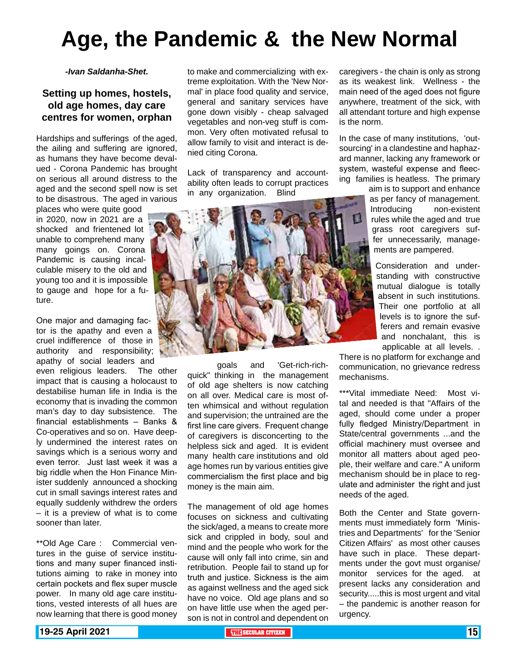## **Age, the Pandemic & the New Normal**

*-Ivan Saldanha-Shet.*

### **Setting up homes, hostels, old age homes, day care centres for women, orphan**

Hardships and sufferings of the aged, the ailing and suffering are ignored, as humans they have become devalued - Corona Pandemic has brought on serious all around distress to the aged and the second spell now is set to be disastrous. The aged in various

places who were quite good in 2020, now in 2021 are a shocked and frientened lot unable to comprehend many many goings on. Corona Pandemic is causing incalculable misery to the old and young too and it is impossible to gauge and hope for a future.

One major and damaging factor is the apathy and even a cruel indifference of those in authority and responsibility; apathy of social leaders and

even religious leaders. The other impact that is causing a holocaust to destabilise human life in India is the economy that is invading the common man's day to day subsistence. The financial establishments – Banks & Co-operatives and so on. Have deeply undermined the interest rates on savings which is a serious worry and even terror. Just last week it was a big riddle when the Hon Finance Minister suddenly announced a shocking cut in small savings interest rates and equally suddenly withdrew the orders – it is a preview of what is to come sooner than later.

\*\*Old Age Care : Commercial ventures in the guise of service institutions and many super financed institutions aiming to rake in money into certain pockets and flex super muscle power. In many old age care institutions, vested interests of all hues are now learning that there is good money to make and commercializing with extreme exploitation. With the 'New Normal' in place food quality and service, general and sanitary services have gone down visibly - cheap salvaged vegetables and non-veg stuff is common. Very often motivated refusal to allow family to visit and interact is denied citing Corona.

Lack of transparency and accountability often leads to corrupt practices in any organization. Blind



goals and 'Get-rich-richquick" thinking in the management of old age shelters is now catching on all over. Medical care is most often whimsical and without regulation and supervision; the untrained are the first line care givers. Frequent change of caregivers is disconcerting to the helpless sick and aged. It is evident many health care institutions and old age homes run by various entities give commercialism the first place and big money is the main aim.

The management of old age homes focuses on sickness and cultivating the sick/aged, a means to create more sick and crippled in body, soul and mind and the people who work for the cause will only fall into crime, sin and retribution. People fail to stand up for truth and justice. Sickness is the aim as against wellness and the aged sick have no voice. Old age plans and so on have little use when the aged person is not in control and dependent on caregivers - the chain is only as strong as its weakest link. Wellness - the main need of the aged does not figure anywhere, treatment of the sick, with all attendant torture and high expense is the norm.

In the case of many institutions, 'outsourcing' in a clandestine and haphazard manner, lacking any framework or system, wasteful expense and fleecing families is heatless. The primary

aim is to support and enhance as per fancy of management. Introducing non-existent rules while the aged and true grass root caregivers suffer unnecessarily, managements are pampered.

Consideration and understanding with constructive mutual dialogue is totally absent in such institutions. Their one portfolio at all levels is to ignore the sufferers and remain evasive and nonchalant, this is applicable at all levels. .

There is no platform for exchange and communication, no grievance redress mechanisms.

\*\*\*Vital immediate Need: Most vital and needed is that "Affairs of the aged, should come under a proper fully fledged Ministry/Department in State/central governments ...and the official machinery must oversee and monitor all matters about aged people, their welfare and care." A uniform mechanism should be in place to regulate and administer the right and just needs of the aged.

Both the Center and State governments must immediately form 'Ministries and Departments' for the 'Senior Citizen Affairs' as most other causes have such in place. These departments under the govt must organise/ monitor services for the aged. at present lacks any consideration and security.....this is most urgent and vital – the pandemic is another reason for urgency.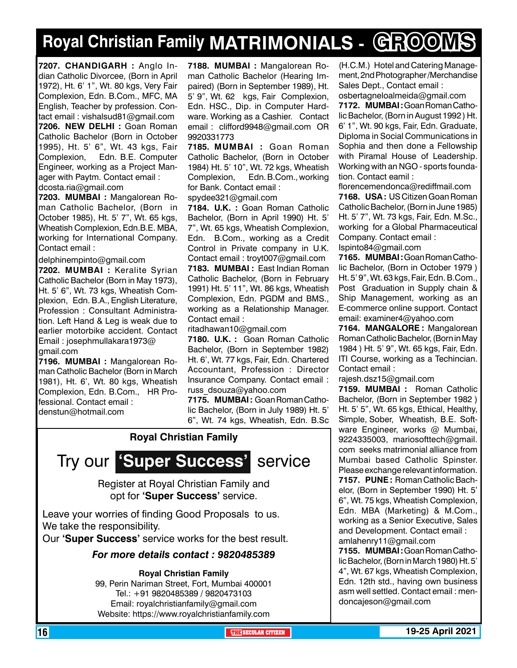## **Royal Christian Family MATRIMONIALS - GROOMS**

**7207. Chandigarh :** Anglo Indian Catholic Divorcee, (Born in April 1972), Ht. 6' 1", Wt. 80 kgs, Very Fair Complexion, Edn. B.Com., MFC, MA English, Teacher by profession. Contact email : vishalsud81@gmail.com **7206. new delhi :** Goan Roman Catholic Bachelor (Born in October 1995), Ht. 5' 6", Wt. 43 kgs, Fair Complexion, Edn. B.E. Computer Engineer, working as a Project Manager with Paytm. Contact email : dcosta.ria@gmail.com

**7203. MUMBAI :** Mangalorean Roman Catholic Bachelor, (Born in October 1985), Ht. 5' 7", Wt. 65 kgs, Wheatish Complexion, Edn.B.E. MBA, working for International Company. Contact email :

delphinempinto@gmail.com

**7202. MUMBAI :** Keralite Syrian Catholic Bachelor (Born in May 1973), Ht. 5' 6", Wt. 73 kgs, Wheatish Complexion, Edn. B.A., English Literature, Profession : Consultant Administration. Left Hand & Leg is weak due to earlier motorbike accident. Contact Email : josephmullakara1973@ gmail.com

**7196. MUMBAI :** Mangalorean Roman Catholic Bachelor (Born in March 1981), Ht. 6', Wt. 80 kgs, Wheatish Complexion, Edn. B.Com., HR Professional. Contact email : denstun@hotmail.com

**7188. MUMBAI :** Mangalorean Roman Catholic Bachelor (Hearing Impaired) (Born in September 1989), Ht. 5' 9", Wt. 62 kgs, Fair Complexion, Edn. HSC., Dip. in Computer Hardware. Working as a Cashier. Contact email : clifford9948@gmail.com OR 9920331773

**7185. MUMBAI :** Goan Roman Catholic Bachelor, (Born in October 1984) Ht. 5' 10", Wt. 72 kgs, Wheatish Complexion, Edn. B.Com., working for Bank. Contact email :

spydee321@gmail.com

**7184. U.K. :** Goan Roman Catholic Bachelor, (Born in April 1990) Ht. 5' 7", Wt. 65 kgs, Wheatish Complexion, Edn. B.Com., working as a Credit Control in Private company in U.K. Contact email : troyt007@gmail.com **7183. MUMBAI :** East Indian Roman Catholic Bachelor, (Born in February 1991) Ht. 5' 11", Wt. 86 kgs, Wheatish Complexion, Edn. PGDM and BMS., working as a Relationship Manager. Contact email :

ritadhawan10@gmail.com

**7180. U.K. :** Goan Roman Catholic Bachelor, (Born in September 1982) Ht. 6', Wt. 77 kgs, Fair, Edn. Chartered Accountant, Profession : Director Insurance Company. Contact email : russ\_dsouza@yahoo.com

**7175. MUMBAI :** Goan Roman Catholic Bachelor, (Born in July 1989) Ht. 5' 6", Wt. 74 kgs, Wheatish, Edn. B.Sc

### **Royal Christian Family**



Register at Royal Christian Family and opt for **'Super Success'** service.

Leave your worries of finding Good Proposals to us. We take the responsibility.

Our **'Super Success'** service works for the best result.

### *For more details contact : 9820485389*

**Royal Christian Family**

99, Perin Nariman Street, Fort, Mumbai 400001 Tel.: +91 9820485389 / 9820473103 Email: royalchristianfamily@gmail.com Website: https://www.royalchristianfamily.com

(H.C.M.) Hotel and Catering Management, 2nd Photographer /Merchandise Sales Dept., Contact email :

osbertagneloalmeida@gmail.com **7172. MUMBAI :** Goan Roman Catholic Bachelor, (Born in August 1992 ) Ht. 6' 1", Wt. 90 kgs, Fair, Edn. Graduate, Diploma in Social Communications in Sophia and then done a Fellowship with Piramal House of Leadership. Working with an NGO - sports foundation. Contact eamil :

florencemendonca@rediffmail.com **7168. USA :** US Citizen Goan Roman Catholic Bachelor, (Born in June 1985) Ht. 5' 7", Wt. 73 kgs, Fair, Edn. M.Sc., working for a Global Pharmaceutical Company. Contact email : Ispinto84@gmail.com

**7165. MUMBAI :** Goan Roman Catholic Bachelor, (Born in October 1979 ) Ht. 5' 9", Wt. 63 kgs, Fair, Edn. B.Com., Post Graduation in Supply chain & Ship Management, working as an E-commerce online support. Contact email: examiner4@yahoo.com

**7164. MANGALORE :** Mangalorean Roman Catholic Bachelor, (Born in May 1984 ) Ht. 5' 9", Wt. 65 kgs, Fair, Edn. ITI Course, working as a Techincian. Contact email :

rajesh.dsz15@gmail.com

**7159. MUMBAI :** Roman Catholic Bachelor, (Born in September 1982 ) Ht. 5' 5", Wt. 65 kgs, Ethical, Healthy, Simple, Sober, Wheatish, B.E. Software Engineer, works @ Mumbai, 9224335003, mariosofttech@gmail. com seeks matrimonial alliance from Mumbai based Catholic Spinster. Please exchange relevant information. **7157. PUNE :** Roman Catholic Bachelor, (Born in September 1990) Ht. 5' 6", Wt. 75 kgs, Wheatish Complexion, Edn. MBA (Marketing) & M.Com., working as a Senior Executive, Sales and Development. Contact email : amlahenry11@gmail.com

**7155. MUMBAI :** Goan Roman Catholic Bachelor, (Born in March 1980) Ht. 5' 4", Wt. 67 kgs, Wheatish Complexion, Edn. 12th std., having own business asm well settled. Contact email : mendoncajeson@gmail.com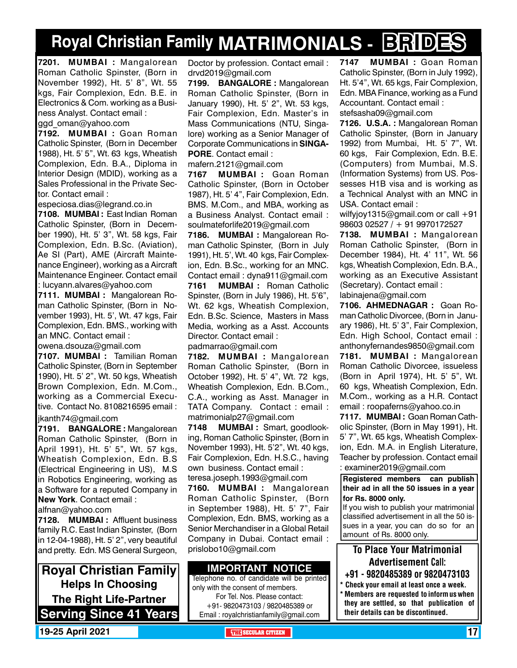## **Royal Christian Family MATRIMONIALS - BRIDES**

**7201. MUMBAI :** Mangalorean Roman Catholic Spinster, (Born in November 1992), Ht. 5' 8", Wt. 55 kgs, Fair Complexion, Edn. B.E. in Electronics & Com. working as a Business Analyst. Contact email : qgd\_oman@yahoo.com

**7192. MUMBAI :** Goan Roman Catholic Spinster, (Born in December 1988), Ht. 5' 5", Wt. 63 kgs, Wheatish

Complexion, Edn. B.A., Diploma in Interior Design (MDID), working as a Sales Professional in the Private Sector. Contact email :

especiosa.dias@legrand.co.in

**7108. MUMBAI :** East Indian Roman Catholic Spinster, (Born in December 1990), Ht. 5' 3", Wt. 58 kgs, Fair Complexion, Edn. B.Sc. (Aviation), Ae SI (Part), AME (Aircraft Maintenance Engineer), working as a Aircraft Maintenance Engineer. Contact email : lucyann.alvares@yahoo.com

**7111. MUMBAI :** Mangalorean Roman Catholic Spinster, (Born in November 1993), Ht. 5', Wt. 47 kgs, Fair Complexion, Edn. BMS., working with an MNC. Contact email :

owena.dsouza@gmail.com

**7107. MUMBAI :** Tamilian Roman Catholic Spinster, (Born in September 1990), Ht. 5' 2", Wt. 50 kgs, Wheatish Brown Complexion, Edn. M.Com., working as a Commercial Executive. Contact No. 8108216595 email :

jkanth74@gmail.com

**7191. BANGALORE :** Mangalorean Roman Catholic Spinster, (Born in April 1991), Ht. 5' 5", Wt. 57 kgs, Wheatish Complexion, Edn. B.S (Electrical Engineering in US), M.S in Robotics Engineering, working as a Software for a reputed Company in **New York**. Contact email :

alfnan@yahoo.com

**7128. MUMBAI :** Affluent business family R.C. East Indian Spinster, (Born in 12-04-1988), Ht. 5' 2", very beautiful and pretty. Edn. MS General Surgeon,

**Royal Christian Family Helps In Choosing The Right Life-Partner Serving Since 41 Years** Doctor by profession. Contact email : drvd2019@gmail.com

**7199. BANGALORE :** Mangalorean Roman Catholic Spinster, (Born in January 1990), Ht. 5' 2", Wt. 53 kgs, Fair Complexion, Edn. Master's in Mass Communications (NTU, Singalore) working as a Senior Manager of Corporate Communications in **SINGA-PORE**. Contact email :

mafern.2121@gmail.com

**7167 MUMBAI :** Goan Roman Catholic Spinster, (Born in October 1987), Ht. 5' 4", Fair Complexion, Edn. BMS. M.Com., and MBA, working as a Business Analyst. Contact email : soulmateforlife2019@gmail.com

**7186. MUMBAI :** Mangalorean Roman Catholic Spinster, (Born in July 1991), Ht. 5', Wt. 40 kgs, Fair Complexion, Edn. B.Sc., working for an MNC. Contact email : dyna911@gmail.com

**7161 MUMBAI :** Roman Catholic Spinster, (Born in July 1986), Ht. 5'6", Wt. 62 kgs, Wheatish Complexion, Edn. B.Sc. Science, Masters in Mass Media, working as a Asst. Accounts Director. Contact email :

padmarrao@gmail.com

**7182. MUMBAI :** Mangalorean Roman Catholic Spinster, (Born in October 1992), Ht. 5' 4", Wt. 72 kgs, Wheatish Complexion, Edn. B.Com., C.A., working as Asst. Manager in TATA Company. Contact : email : matrimonialp27@gmail.com

**7148 MUMBAI :** Smart, goodlooking, Roman Catholic Spinster, (Born in November 1993), Ht. 5'2", Wt. 40 kgs, Fair Complexion, Edn. H.S.C., having own business. Contact email :

teresa.joseph.1993@gmail.com **7160. MUMBAI :** Mangalorean Roman Catholic Spinster, (Born in September 1988), Ht. 5' 7", Fair Complexion, Edn. BMS, working as a Senior Merchandiser in a Global Retail Company in Dubai. Contact email : prislobo10@gmail.com

### **Important Notice**

Telephone no. of candidate will be printed only with the consent of members. For Tel. Nos. Please contact: +91- 9820473103 / 9820485389 or Email : royalchristianfamily@gmail.com

**7147 MUMBAI :** Goan Roman Catholic Spinster, (Born in July 1992), Ht. 5'4", Wt. 65 kgs, Fair Complexion, Edn. MBA Finance, working as a Fund Accountant. Contact email : stefsasha09@gmail.com

**7126. U.S.A. :** Mangalorean Roman Catholic Spinster, (Born in January 1992) from Mumbai, Ht. 5' 7", Wt. 60 kgs, Fair Complexion, Edn. B.E. (Computers) from Mumbai, M.S. (Information Systems) from US. Possesses H1B visa and is working as a Technical Analyst with an MNC in USA. Contact email :

wilfyjoy1315@gmail.com or call +91 98603 02527 / + 91 9970172527

**7138. MUMBAI :** Mangalorean Roman Catholic Spinster, (Born in December 1984), Ht. 4' 11", Wt. 56 kgs, Wheatish Complexion, Edn. B.A., working as an Executive Assistant (Secretary). Contact email : labinajena@gmail.com

**7106. Ahmednagar :** Goan Roman Catholic Divorcee, (Born in January 1986), Ht. 5' 3", Fair Complexion, Edn. High School, Contact email : anthonyfernandes9850@gmail.com **7181. MUMBAI :** Mangalorean Roman Catholic Divorcee, issueless (Born in April 1974), Ht. 5' 5", Wt. 60 kgs, Wheatish Complexion, Edn. M.Com., working as a H.R. Contact email : roopaferns@yahoo.co.in

**7117. MUMBAI :** Goan Roman Catholic Spinster, (Born in May 1991), Ht. 5' 7", Wt. 65 kgs, Wheatish Complexion, Edn. M.A. in English Literature, Teacher by profession. Contact email : examiner2019@gmail.com

**Registered members can publish their ad in all the 50 issues in a year for Rs. 8000 only.**

If you wish to publish your matrimonial classified advertisement in all the 50 issues in a year, you can do so for an amount of Rs. 8000 only.

To Place Your Matrimonial Advertisement Call: +91 - 9820485389 or 9820473103

- \* Check your email at least once a week.
- \* Members are requested to inform us when they are settled, so that publication of their details can be discontinued.

**19-25 April 2021 The Security of the SECULAR CITIZEN THE** SECULAR CITIZEN **17**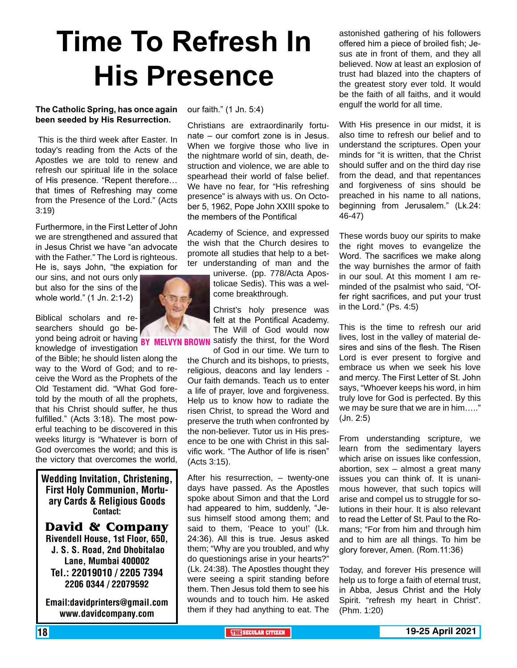## **Time To Refresh In His Presence**

### **The Catholic Spring, has once again been seeded by His Resurrection.**

 This is the third week after Easter. In today's reading from the Acts of the Apostles we are told to renew and refresh our spiritual life in the solace of His presence. "Repent therefore… that times of Refreshing may come from the Presence of the Lord." (Acts 3:19)

Furthermore, in the First Letter of John we are strengthened and assured that in Jesus Christ we have "an advocate with the Father." The Lord is righteous. He is, says John, "the expiation for

our sins, and not ours only but also for the sins of the whole world." (1 Jn. 2:1-2)

Biblical scholars and researchers should go be-

knowledge of investigation of the Bible; he should listen along the way to the Word of God; and to receive the Word as the Prophets of the Old Testament did. "What God foretold by the mouth of all the prophets, that his Christ should suffer, he thus fulfilled." (Acts 3:18). The most powerful teaching to be discovered in this weeks liturgy is "Whatever is born of God overcomes the world; and this is the victory that overcomes the world,

Wedding Invitation, Christening, First Holy Communion, Mortuary Cards & Religious Goods Contact:

**David & Company** Rivendell House, 1st Floor, 650,

 J. S. S. Road, 2nd Dhobitalao Lane, Mumbai 400002 Tel.: 22019010 / 2205 7394 2206 0344 / 22079592

Email:davidprinters@gmail.com www.davidcompany.com

our faith." (1 Jn. 5:4)

Christians are extraordinarily fortunate – our comfort zone is in Jesus. When we forgive those who live in the nightmare world of sin, death, destruction and violence, we are able to spearhead their world of false belief. We have no fear, for "His refreshing presence" is always with us. On October 5, 1962, Pope John XXIII spoke to the members of the Pontifical

Academy of Science, and expressed the wish that the Church desires to promote all studies that help to a better understanding of man and the

> universe. (pp. 778/Acta Apostolicae Sedis). This was a welcome breakthrough.

yond being adroit or having BY MELVYN BROWN satisfy the thirst, for the Word Christ's holy presence was felt at the Pontifical Academy. The Will of God would now

of God in our time. We turn to the Church and its bishops, to priests, religious, deacons and lay lenders - Our faith demands. Teach us to enter a life of prayer, love and forgiveness. Help us to know how to radiate the risen Christ, to spread the Word and preserve the truth when confronted by the non-believer. Tutor us in His presence to be one with Christ in this salvific work. "The Author of life is risen" (Acts 3:15).

After his resurrection, – twenty-one days have passed. As the Apostles spoke about Simon and that the Lord had appeared to him, suddenly, "Jesus himself stood among them; and said to them, 'Peace to you!' (Lk. 24:36). All this is true. Jesus asked them; "Why are you troubled, and why do questionings arise in your hearts?" (Lk. 24:38). The Apostles thought they were seeing a spirit standing before them. Then Jesus told them to see his wounds and to touch him. He asked them if they had anything to eat. The

astonished gathering of his followers offered him a piece of broiled fish; Jesus ate in front of them, and they all believed. Now at least an explosion of trust had blazed into the chapters of the greatest story ever told. It would be the faith of all faiths, and it would engulf the world for all time.

With His presence in our midst, it is also time to refresh our belief and to understand the scriptures. Open your minds for "it is written, that the Christ should suffer and on the third day rise from the dead, and that repentances and forgiveness of sins should be preached in his name to all nations, beginning from Jerusalem." (Lk.24: 46-47)

These words buoy our spirits to make the right moves to evangelize the Word. The sacrifices we make along the way burnishes the armor of faith in our soul. At this moment I am reminded of the psalmist who said, "Offer right sacrifices, and put your trust in the Lord." (Ps. 4:5)

This is the time to refresh our arid lives, lost in the valley of material desires and sins of the flesh. The Risen Lord is ever present to forgive and embrace us when we seek his love and mercy. The First Letter of St. John says, "Whoever keeps his word, in him truly love for God is perfected. By this we may be sure that we are in him….." (Jn. 2:5)

From understanding scripture, we learn from the sedimentary layers which arise on issues like confession, abortion, sex – almost a great many issues you can think of. It is unanimous however, that such topics will arise and compel us to struggle for solutions in their hour. It is also relevant to read the Letter of St. Paul to the Romans; "For from him and through him and to him are all things. To him be glory forever, Amen. (Rom.11:36)

Today, and forever His presence will help us to forge a faith of eternal trust, in Abba, Jesus Christ and the Holy Spirit. "refresh my heart in Christ". (Phm. 1:20)

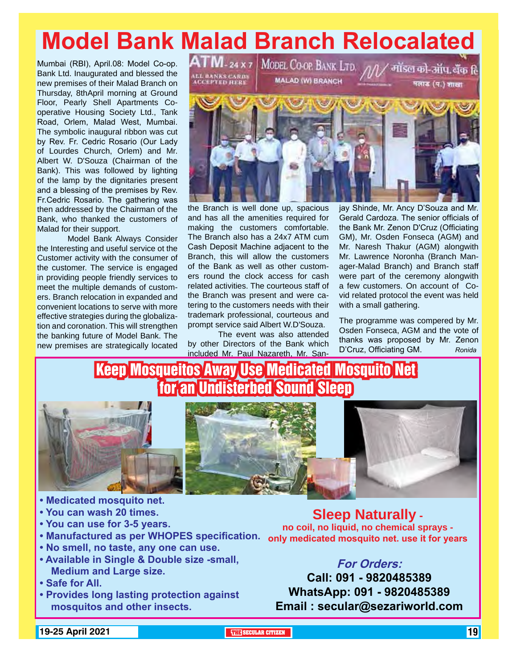# Model Bank Malad Branch Relocalated<br>Aumbai (RBI), April.08: Model Co-op. A I MI-24 x 7 Model Co-or Bank LTD. <sub>AA</sub>/ antiser <del>or . 3ifu dito</del> fe

Mumbai (RBI), April.08: Model Co-op. Bank Ltd. Inaugurated and blessed the new premises of their Malad Branch on Thursday, 8thApril morning at Ground Floor, Pearly Shell Apartments Cooperative Housing Society Ltd., Tank Road, Orlem, Malad West, Mumbai. The symbolic inaugural ribbon was cut by Rev. Fr. Cedric Rosario (Our Lady of Lourdes Church, Orlem) and Mr. Albert W. D'Souza (Chairman of the Bank). This was followed by lighting of the lamp by the dignitaries present and a blessing of the premises by Rev. Fr.Cedric Rosario. The gathering was then addressed by the Chairman of the Bank, who thanked the customers of Malad for their support.

Model Bank Always Consider the Interesting and useful service ot the Customer activity with the consumer of the customer. The service is engaged in providing people friendly services to meet the multiple demands of customers. Branch relocation in expanded and convenient locations to serve with more effective strategies during the globalization and coronation. This will strengthen the banking future of Model Bank. The new premises are strategically located ALL BANKS CARDS<br>ACCEPTED HERE

**MALAD (W) BRANCH** 

मलाड (प.) शाखा



the Branch is well done up, spacious and has all the amenities required for making the customers comfortable. The Branch also has a 24x7 ATM cum Cash Deposit Machine adjacent to the Branch, this will allow the customers of the Bank as well as other customers round the clock access for cash related activities. The courteous staff of the Branch was present and were catering to the customers needs with their trademark professional, courteous and prompt service said Albert W.D'Souza.

The event was also attended by other Directors of the Bank which included Mr. Paul Nazareth, Mr. Sanjay Shinde, Mr. Ancy D'Souza and Mr. Gerald Cardoza. The senior officials of the Bank Mr. Zenon D'Cruz (Officiating GM), Mr. Osden Fonseca (AGM) and Mr. Naresh Thakur (AGM) alongwith Mr. Lawrence Noronha (Branch Manager-Malad Branch) and Branch staff were part of the ceremony alongwith a few customers. On account of Covid related protocol the event was held with a small gathering.

The programme was compered by Mr. Osden Fonseca, AGM and the vote of thanks was proposed by Mr. Zenon D'Cruz, Officiating GM. *Ronida*

### Keep Mosqueitos Away Use Medicated Mosquito Net for an Undisterbed Sound Sleep





- **Medicated mosquito net.**
- **You can wash 20 times.**
- **You can use for 3-5 years.**
- 
- **No smell, no taste, any one can use.**
- **Available in Single & Double size -small, Medium and Large size.**
- **Safe for All.**
- **Provides long lasting protection against mosquitos and other insects.**

**• Manufactured as per WHOPES specification. only medicated mosquito net. use it for years Sleep Naturally no coil, no liquid, no chemical sprays -** 

### **For Orders:**

**Call: 091 - 9820485389 WhatsApp: 091 - 9820485389 Email : secular@sezariworld.com**

### **19-25 April 2021 THE THE THE THE SECULAR CITIZEN THE SECULAR CITIZEN THE SECULAR CITIZEN**